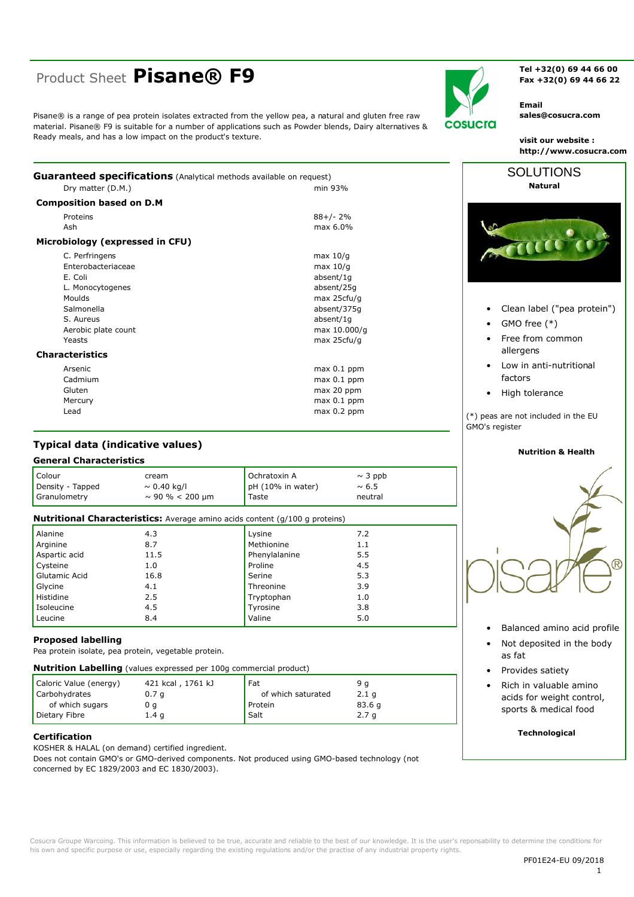# Product Sheet Pisane® F9

Ready meals, and has a low impact on the product's texture.

cosucra

Tel +32(0) 69 44 66 00 Fax +32(0) 69 44 66 22

**Email** sales@cosucra.com

visit our website : http://www.cosucra.com

Guaranteed specifications (Analytical methods available on request) Dry matter (D.M.) min 93% **Composition based on D.M** 

Pisane® is a range of pea protein isolates extracted from the yellow pea, a natural and gluten free raw material. Pisane® F9 is suitable for a number of applications such as Powder blends, Dairy alternatives &

| Proteins                        | $88+/-2%$     |
|---------------------------------|---------------|
| Ash                             | $max 6.0\%$   |
| Microbiology (expressed in CFU) |               |
| C. Perfringens                  | max $10/q$    |
| Enterobacteriaceae              | max 10/q      |
| E. Coli                         | absent/1q     |
| L. Monocytogenes                | absent/25g    |
| Moulds                          | max 25cfu/g   |
| Salmonella                      | absent/375q   |
| S. Aureus                       | absent/1q     |
| Aerobic plate count             | max 10.000/g  |
| Yeasts                          | max 25cfu/g   |
| <b>Characteristics</b>          |               |
| Arsenic                         | $max 0.1$ ppm |
| Cadmium                         | $max 0.1$ ppm |
| Gluten                          | max 20 ppm    |
| Mercury                         | $max 0.1$ ppm |

# **Typical data (indicative values)**

# **General Characteristics**

heal

| Colour<br>Density - Tapped<br>Granulometry | cream<br>$\sim 0.40$ kg/l<br>$\sim$ 90 % < 200 µm                                  | Ochratoxin A<br>pH (10% in water)<br>Taste | $\sim$ 3 ppb<br>$\sim 6.5$<br>neutral |  |  |  |  |
|--------------------------------------------|------------------------------------------------------------------------------------|--------------------------------------------|---------------------------------------|--|--|--|--|
|                                            | <b>Nutritional Characteristics:</b> Average amino acids content (g/100 g proteins) |                                            |                                       |  |  |  |  |
| Alanine                                    | 4.3                                                                                | Lysine                                     | 7.2                                   |  |  |  |  |
| Arginine                                   | 8.7                                                                                | Methionine                                 | 1.1                                   |  |  |  |  |
| Aspartic acid                              | 11.5                                                                               | Phenylalanine                              | 5.5                                   |  |  |  |  |
| Cysteine                                   | 1.0                                                                                | Proline                                    | 4.5                                   |  |  |  |  |
| Glutamic Acid                              | 16.8                                                                               | Serine                                     | 5.3                                   |  |  |  |  |
| Glycine                                    | 4.1                                                                                | Threonine                                  | 3.9                                   |  |  |  |  |
| Histidine                                  | 2.5                                                                                | Tryptophan                                 | 1.0                                   |  |  |  |  |
| Isoleucine                                 | 4.5                                                                                | Tyrosine                                   | 3.8                                   |  |  |  |  |
| Leucine                                    | 8.4                                                                                | Valine                                     | 5.0                                   |  |  |  |  |

#### **Proposed labelling**

Pea protein isolate, pea protein, vegetable protein.

| <b>Nutrition Labelling</b> (values expressed per 100g commercial product) |  |  |  |  |  |  |
|---------------------------------------------------------------------------|--|--|--|--|--|--|
|---------------------------------------------------------------------------|--|--|--|--|--|--|

| Caloric Value (energy) | 421 kcal, 1761 kJ | Fat                | 9 a              |
|------------------------|-------------------|--------------------|------------------|
| Carbohydrates          | 0.7 <sub>q</sub>  | of which saturated | 2.1 <sub>q</sub> |
| of which sugars        | u a               | Protein            | 83.6q            |
| Dietary Fibre          | 1.4 <sub>q</sub>  | <b>Salt</b>        | 2.7 <sub>q</sub> |

# **Certification**

KOSHER & HALAL (on demand) certified ingredient.

Does not contain GMO's or GMO-derived components. Not produced using GMO-based technology (not concerned by EC 1829/2003 and EC 1830/2003).



- Clean label ("pea protein")
- GMO free (\*)
- Free from common allergens
- Low in anti-nutritional factors
- High tolerance

(\*) peas are not included in the EU GMO's register

#### **Nutrition & Health**



- Balanced amino acid profile
- Not deposited in the body as fat
- Provides satiety
- Rich in valuable amino acids for weight control, sports & medical food

### **Technological**

Cosucra Groupe Warcoing. This information is believed to be true, accurate and reliable to the best of our knowledge. It is the user's reponsability to determine the conditions for his own and specific purpose or use, especially regarding the existing regulations and/or the practise of any industrial property rights.

max 0.2 ppm